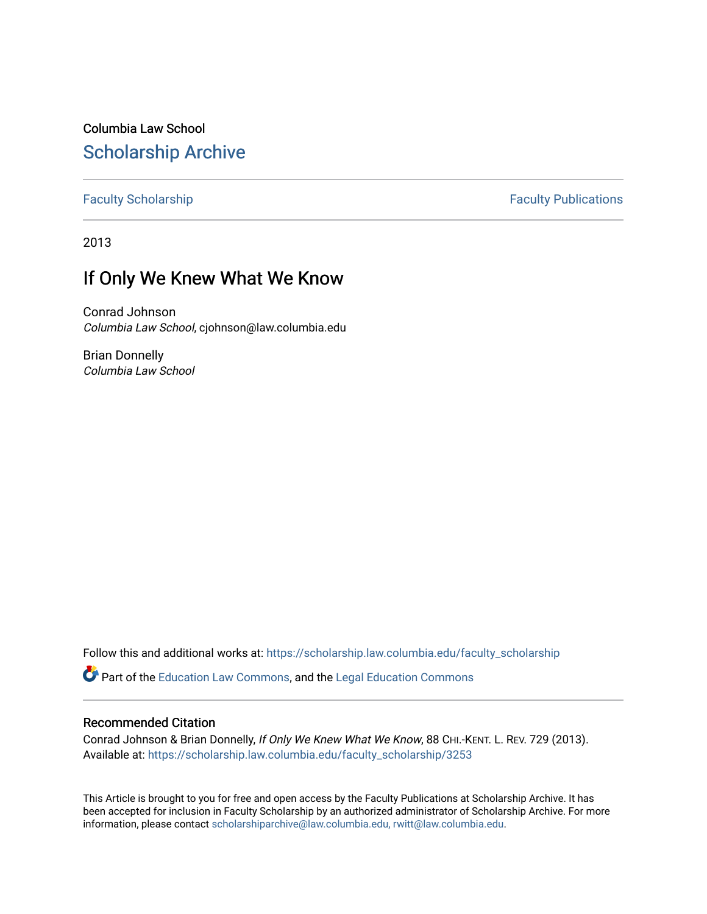Columbia Law School [Scholarship Archive](https://scholarship.law.columbia.edu/) 

[Faculty Scholarship](https://scholarship.law.columbia.edu/faculty_scholarship) **Faculty Scholarship Faculty Publications** 

2013

# If Only We Knew What We Know

Conrad Johnson Columbia Law School, cjohnson@law.columbia.edu

Brian Donnelly Columbia Law School

Follow this and additional works at: [https://scholarship.law.columbia.edu/faculty\\_scholarship](https://scholarship.law.columbia.edu/faculty_scholarship?utm_source=scholarship.law.columbia.edu%2Ffaculty_scholarship%2F3253&utm_medium=PDF&utm_campaign=PDFCoverPages)

Part of the [Education Law Commons,](http://network.bepress.com/hgg/discipline/596?utm_source=scholarship.law.columbia.edu%2Ffaculty_scholarship%2F3253&utm_medium=PDF&utm_campaign=PDFCoverPages) and the [Legal Education Commons](http://network.bepress.com/hgg/discipline/857?utm_source=scholarship.law.columbia.edu%2Ffaculty_scholarship%2F3253&utm_medium=PDF&utm_campaign=PDFCoverPages) 

## Recommended Citation

Conrad Johnson & Brian Donnelly, If Only We Knew What We Know, 88 CHI.-KENT. L. REV. 729 (2013). Available at: [https://scholarship.law.columbia.edu/faculty\\_scholarship/3253](https://scholarship.law.columbia.edu/faculty_scholarship/3253?utm_source=scholarship.law.columbia.edu%2Ffaculty_scholarship%2F3253&utm_medium=PDF&utm_campaign=PDFCoverPages)

This Article is brought to you for free and open access by the Faculty Publications at Scholarship Archive. It has been accepted for inclusion in Faculty Scholarship by an authorized administrator of Scholarship Archive. For more information, please contact [scholarshiparchive@law.columbia.edu, rwitt@law.columbia.edu](mailto:scholarshiparchive@law.columbia.edu,%20rwitt@law.columbia.edu).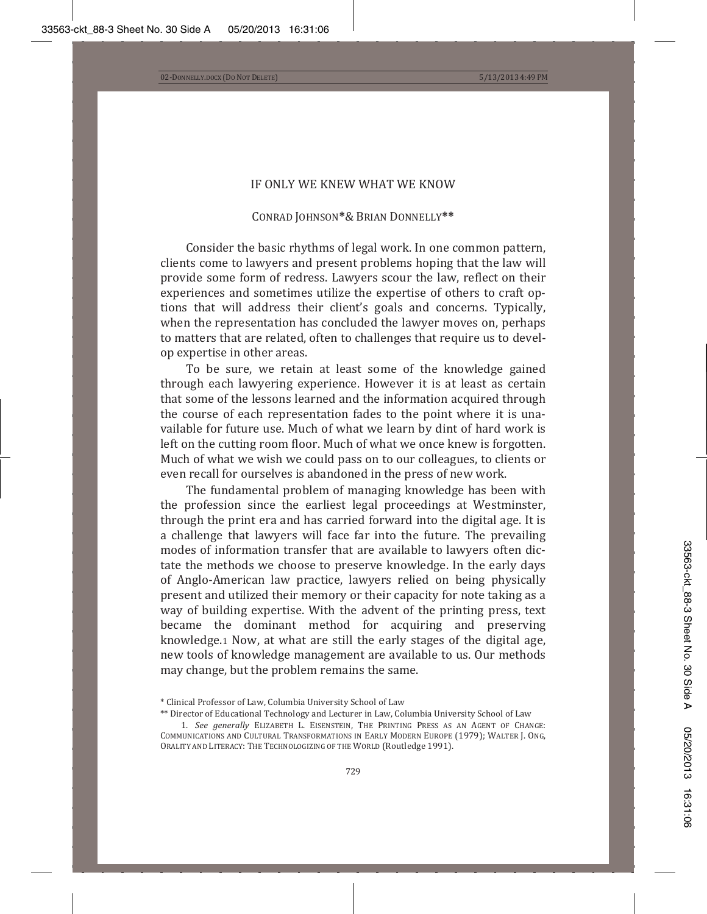### IF ONLY WE KNEW WHAT WE KNOW

### CONRAD JOHNSON\*& BRIAN DONNELLY\*\*

Consider the basic rhythms of legal work. In one common pattern, clients come to lawyers and present problems hoping that the law will provide some form of redress. Lawyers scour the law, reflect on their experiences and sometimes utilize the expertise of others to craft options that will address their client's goals and concerns. Typically, when the representation has concluded the lawyer moves on, perhaps to matters that are related, often to challenges that require us to develop expertise in other areas.

To be sure, we retain at least some of the knowledge gained through each lawyering experience. However it is at least as certain that some of the lessons learned and the information acquired through the course of each representation fades to the point where it is unavailable for future use. Much of what we learn by dint of hard work is left on the cutting room floor. Much of what we once knew is forgotten. Much of what we wish we could pass on to our colleagues, to clients or even recall for ourselves is abandoned in the press of new work.

The fundamental problem of managing knowledge has been with the profession since the earliest legal proceedings at Westminster, through the print era and has carried forward into the digital age. It is a challenge that lawyers will face far into the future. The prevailing modes of information transfer that are available to lawyers often dictate the methods we choose to preserve knowledge. In the early days of Anglo-American law practice, lawyers relied on being physically present and utilized their memory or their capacity for note taking as a way of building expertise. With the advent of the printing press, text became the dominant method for acquiring and preserving knowledge.1 Now, at what are still the early stages of the digital age, new tools of knowledge management are available to us. Our methods may change, but the problem remains the same.

<sup>\*</sup> Clinical Professor of Law, Columbia University School of Law

<sup>\*\*</sup> Director of Educational Technology and Lecturer in Law, Columbia University School of Law

<sup>1.</sup> See generally Elizabeth L. Eisenstein, The Printing Press as an Agent of Change: COMMUNICATIONS AND CULTURAL TRANSFORMATIONS IN EARLY MODERN EUROPE (1979); WALTER J. ONG, ORALITY AND LITERACY: THE TECHNOLOGIZING OF THE WORLD (Routledge 1991).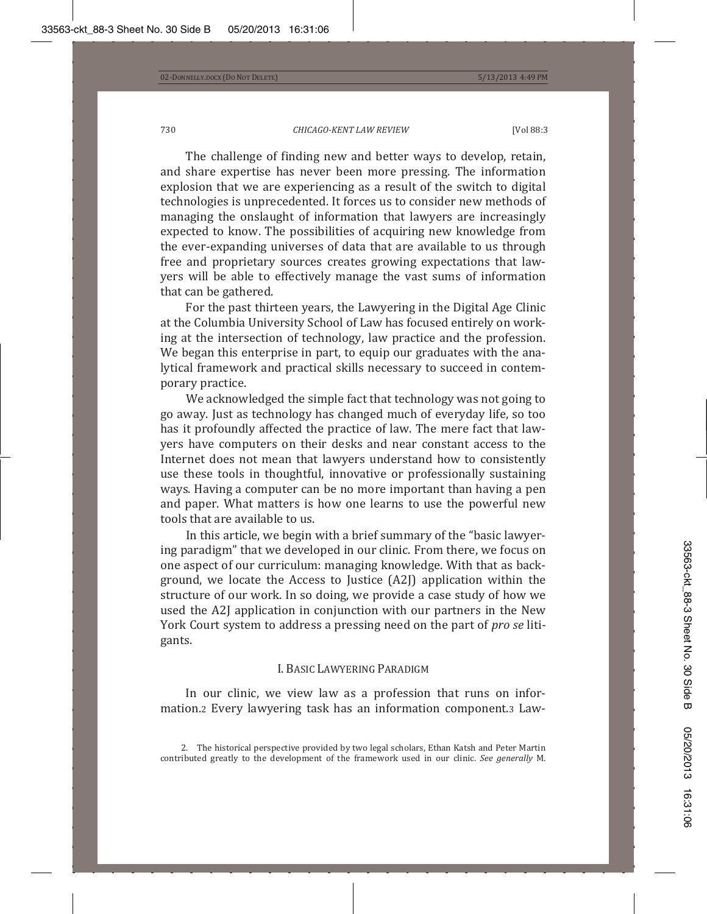The challenge of finding new and better ways to develop, retain, and share expertise has never been more pressing. The information explosion that we are experiencing as a result of the switch to digital technologies is unprecedented. It forces us to consider new methods of managing the onslaught of information that lawyers are increasingly expected to know. The possibilities of acquiring new knowledge from the ever-expanding universes of data that are available to us through free and proprietary sources creates growing expectations that lawyers will be able to effectively manage the vast sums of information that can be gathered.

For the past thirteen years, the Lawyering in the Digital Age Clinic at the Columbia University School of Law has focused entirely on working at the intersection of technology, law practice and the profession. We began this enterprise in part, to equip our graduates with the analytical framework and practical skills necessary to succeed in contemporary practice.

We acknowledged the simple fact that technology was not going to go away. Just as technology has changed much of everyday life, so too has it profoundly affected the practice of law. The mere fact that lawyers have computers on their desks and near constant access to the Internet does not mean that lawyers understand how to consistently use these tools in thoughtful, innovative or professionally sustaining ways. Having a computer can be no more important than having a pen and paper. What matters is how one learns to use the powerful new tools that are available to us.

In this article, we begin with a brief summary of the "basic lawyering paradigm" that we developed in our clinic. From there, we focus on one aspect of our curriculum: managing knowledge. With that as background, we locate the Access to Justice (A2J) application within the structure of our work. In so doing, we provide a case study of how we used the A2J application in conjunction with our partners in the New York Court system to address a pressing need on the part of *pro se* litigants.

### I. BASIC LAWYERING PARADIGM

In our clinic, we view law as a profession that runs on information.2 Every lawyering task has an information component.3 Law-

2. The historical perspective provided by two legal scholars, Ethan Katsh and Peter Martin contributed greatly to the development of the framework used in our clinic. See generally M.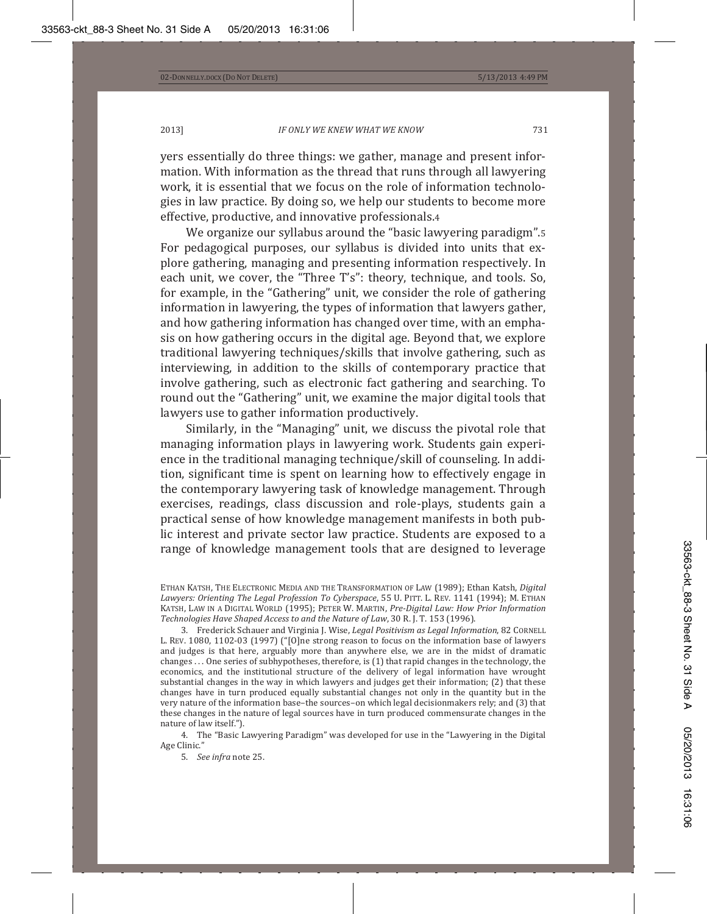yers essentially do three things: we gather, manage and present information. With information as the thread that runs through all lawyering work, it is essential that we focus on the role of information technologies in law practice. By doing so, we help our students to become more effective, productive, and innovative professionals.4

We organize our syllabus around the "basic lawyering paradigm". For pedagogical purposes, our syllabus is divided into units that explore gathering, managing and presenting information respectively. In each unit, we cover, the "Three T's": theory, technique, and tools. So, for example, in the "Gathering" unit, we consider the role of gathering information in lawyering, the types of information that lawyers gather, and how gathering information has changed over time, with an emphasis on how gathering occurs in the digital age. Beyond that, we explore traditional lawyering techniques/skills that involve gathering, such as interviewing, in addition to the skills of contemporary practice that involve gathering, such as electronic fact gathering and searching. To round out the "Gathering" unit, we examine the major digital tools that lawyers use to gather information productively.

Similarly, in the "Managing" unit, we discuss the pivotal role that managing information plays in lawyering work. Students gain experience in the traditional managing technique/skill of counseling. In addition, significant time is spent on learning how to effectively engage in the contemporary lawyering task of knowledge management. Through exercises, readings, class discussion and role-plays, students gain a practical sense of how knowledge management manifests in both public interest and private sector law practice. Students are exposed to a range of knowledge management tools that are designed to leverage

ETHAN KATSH, THE ELECTRONIC MEDIA AND THE TRANSFORMATION OF LAW (1989); Ethan Katsh, *Digital Lawyers: Orienting The Legal Profession To Cyberspace,* 55 U. PITT. L. REV. 1141 (1994); Μ. ΕΤΗΑΝ ǡ  ȋͳͻͻͷȌǢǤ ǡ*PreǦDigital Law: How Prior Information Technologies Have Shaped Access to and the Nature of Law*, 30 R. J. T. 153 (1996).

3. Frederick Schauer and Virginia J. Wise, Legal Positivism as Legal Information, 82 CORNELL L. REV. 1080, 1102-03 (1997) ("[O]ne strong reason to focus on the information base of lawyers and judges is that here, arguably more than anywhere else, we are in the midst of dramatic changes ... One series of subhypotheses, therefore, is (1) that rapid changes in the technology, the economics, and the institutional structure of the delivery of legal information have wrought substantial changes in the way in which lawyers and judges get their information; (2) that these changes have in turn produced equally substantial changes not only in the quantity but in the very nature of the information base-the sources-on which legal decisionmakers rely; and (3) that these changes in the nature of legal sources have in turn produced commensurate changes in the nature of law itself.").

4. The "Basic Lawyering Paradigm" was developed for use in the "Lawyering in the Digital Age Clinic."

5. See *infra* note 25.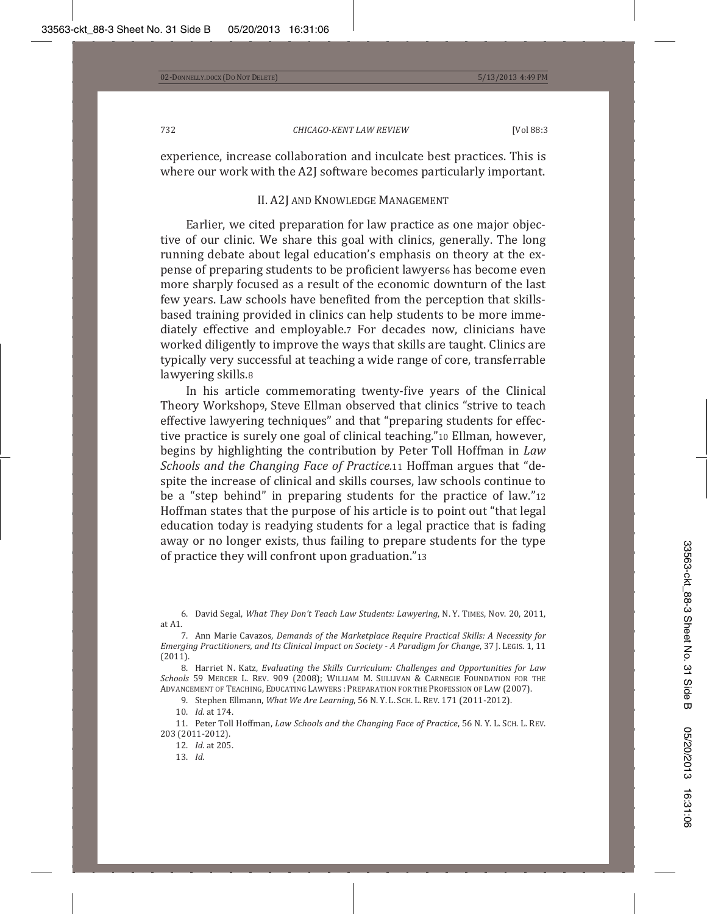experience, increase collaboration and inculcate best practices. This is where our work with the A2J software becomes particularly important.

# II. A2J AND KNOWLEDGE MANAGEMENT

Earlier, we cited preparation for law practice as one major objective of our clinic. We share this goal with clinics, generally. The long running debate about legal education's emphasis on theory at the expense of preparing students to be proficient lawyers6 has become even more sharply focused as a result of the economic downturn of the last few years. Law schools have benefited from the perception that skillsbased training provided in clinics can help students to be more immediately effective and employable.7 For decades now, clinicians have worked diligently to improve the ways that skills are taught. Clinics are typically very successful at teaching a wide range of core, transferrable lawyering skills.8

In his article commemorating twenty-five years of the Clinical Theory Workshop<sub>9</sub>, Steve Ellman observed that clinics "strive to teach effective lawyering techniques" and that "preparing students for effective practice is surely one goal of clinical teaching."10 Ellman, however, begins by highlighting the contribution by Peter Toll Hoffman in Law *Schools* and *the Changing Face of Practice.*11 Hoffman argues that "despite the increase of clinical and skills courses, law schools continue to be a "step behind" in preparing students for the practice of law."12 Hoffman states that the purpose of his article is to point out "that legal education today is readying students for a legal practice that is fading away or no longer exists, thus failing to prepare students for the type of practice they will confront upon graduation."13

6. David Segal, What They Don't Teach Law Students: Lawyering, Ν.Υ. TIMES, Nov. 20, 2011, at A1.

 Ǥ ǡ*Demands of the Marketplace Require Practical Skills: A Necessity for Emerging Practitioners, and Its Clinical Impact on Society - A Paradigm for Change, 37 J. LEGIS. 1, 11*  $(2011).$ 

 ͺǤ Ǥ ǡ *Evaluating the Skills Curriculum: Challenges and Opportunities for Law Schools* 59 Mercer L. Rev. 909 (2008); William M. Sullivan & Carnegie Foundation for the ADVANCEMENT OF TEACHING, EDUCATING LAWYERS : PREPARATION FOR THE PROFESSION OF LAW (2007).

9. Stephen Ellmann, *What We Are Learning*, 56 N.Y.L. SCH. L. REV. 171 (2011-2012).

10. *Id.* at 174.

11. Peter Toll Hoffman, Law Schools and the Changing Face of Practice, 56 N.Y. L. SCH. L. REV. 203 (2011-2012).

12. *Id.* at 205.

13. *Id.*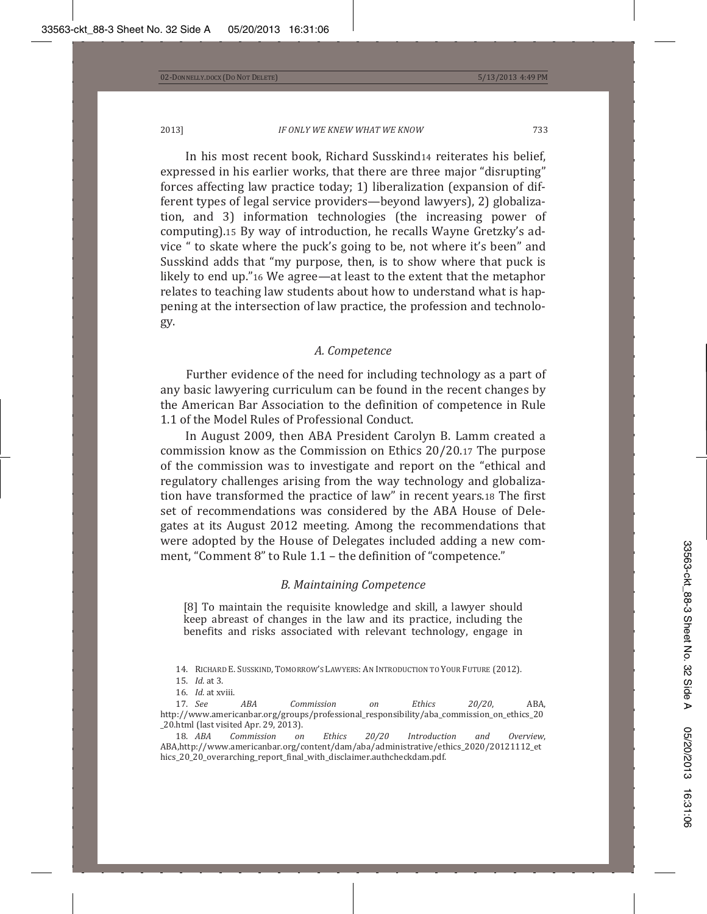In his most recent book, Richard Susskind14 reiterates his belief, expressed in his earlier works, that there are three major "disrupting" forces affecting law practice today; 1) liberalization (expansion of different types of legal service providers—beyond lawyers), 2) globalization, and 3) information technologies (the increasing power of computing).15 By way of introduction, he recalls Wayne Gretzky's advice " to skate where the puck's going to be, not where it's been" and Susskind adds that "my purpose, then, is to show where that puck is likely to end up."16 We agree—at least to the extent that the metaphor relates to teaching law students about how to understand what is happening at the intersection of law practice, the profession and technology.

#### *A. Competence*

Further evidence of the need for including technology as a part of any basic lawyering curriculum can be found in the recent changes by the American Bar Association to the definition of competence in Rule 1.1 of the Model Rules of Professional Conduct.

In August 2009, then ABA President Carolyn B. Lamm created a commission know as the Commission on Ethics 20/20.17 The purpose of the commission was to investigate and report on the "ethical and regulatory challenges arising from the way technology and globalization have transformed the practice of law" in recent years.18 The first set of recommendations was considered by the ABA House of Delegates at its August 2012 meeting. Among the recommendations that were adopted by the House of Delegates included adding a new comment, "Comment 8" to Rule 1.1 - the definition of "competence."

### *B. Maintaining Competence*

[8] To maintain the requisite knowledge and skill, a lawyer should keep abreast of changes in the law and its practice, including the benefits and risks associated with relevant technology, engage in

14. RICHARD E. SUSSKIND, TOMORROW'S LAWYERS: AN INTRODUCTION TO YOUR FUTURE (2012).

16. *Id.* at xviii.<br>17. *See* 17. See ABA Commission on Ethics 20/20, ABA, http://www.americanbar.org/groups/professional\_responsibility/aba\_commission\_on\_ethics\_20 20.html (last visited Apr. 29, 2013).<br>18. ABA Commission on

18. ABA Commission on Ethics 20/20 Introduction and Overview, ABA,http://www.americanbar.org/content/dam/aba/administrative/ethics\_2020/20121112\_et hics\_20\_20\_overarching\_report\_final\_with\_disclaimer.authcheckdam.pdf.

<sup>15.</sup> *Id.* at 3.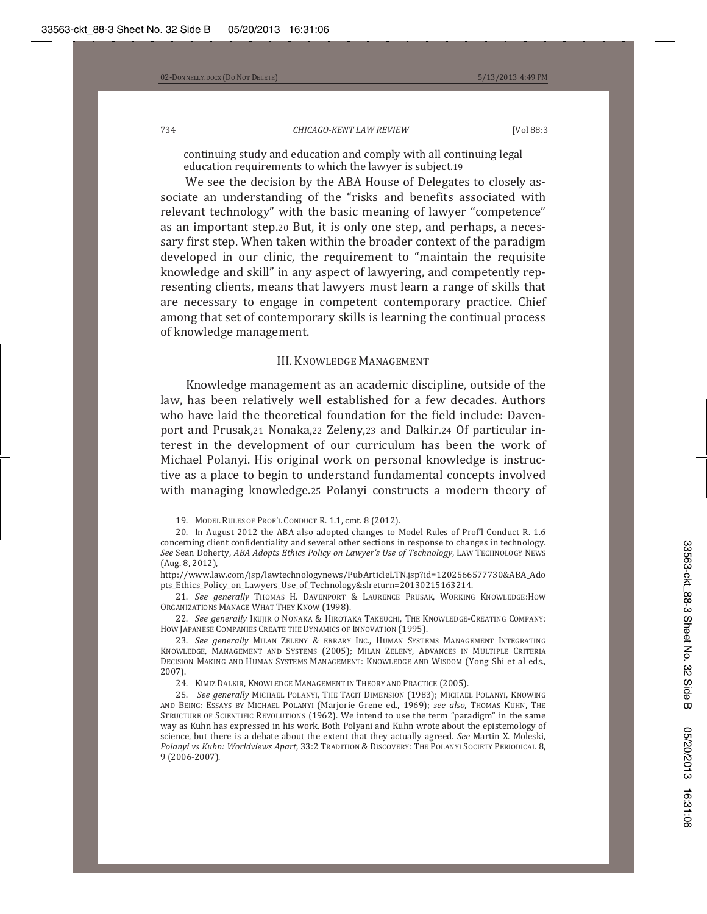continuing study and education and comply with all continuing legal education requirements to which the lawyer is subject.19

We see the decision by the ABA House of Delegates to closely associate an understanding of the "risks and benefits associated with relevant technology" with the basic meaning of lawyer "competence" as an important step.20 But, it is only one step, and perhaps, a necessary first step. When taken within the broader context of the paradigm developed in our clinic, the requirement to "maintain the requisite knowledge and skill" in any aspect of lawyering, and competently representing clients, means that lawyers must learn a range of skills that are necessary to engage in competent contemporary practice. Chief among that set of contemporary skills is learning the continual process of knowledge management.

# III. KNOWLEDGE MANAGEMENT

Knowledge management as an academic discipline, outside of the law, has been relatively well established for a few decades. Authors who have laid the theoretical foundation for the field include: Davenport and Prusak, 21 Nonaka, 22 Zeleny, 23 and Dalkir. 24 Of particular interest in the development of our curriculum has been the work of Michael Polanyi. His original work on personal knowledge is instructive as a place to begin to understand fundamental concepts involved with managing knowledge.25 Polanyi constructs a modern theory of

19. MODEL RULES OF PROF'L CONDUCT R. 1.1, cmt. 8 (2012).

20. In August 2012 the ABA also adopted changes to Model Rules of Prof'l Conduct R. 1.6 concerning client confidentiality and several other sections in response to changes in technology. *See*ǡ*ABA Adopts Ethics Policy on Lawyer's Use of Technology*ǡ  $(Aug. 8, 2012)$ ,

http://www.law.com/jsp/lawtechnologynews/PubArticleLTN.jsp?id=1202566577730&ABA\_Ado pts\_Ethics\_Policy\_on\_Lawyers\_Use\_of\_Technology&slreturn=20130215163214.

21. *See generally* Thomas H. Davenport & Laurence Prusak, Working Knowledge:How ORGANIZATIONS MANAGE WHAT THEY KNOW (1998).

22. *See generally* Ikujir o Nonaka & Hirotaka Takeuchi, The Knowledge-Creating Company: HOW JAPANESE COMPANIES CREATE THE DYNAMICS OF INNOVATION (1995).

23. See generally Milan Zeleny & ebrary Inc., Human Systems Management Integrating KNOWLEDGE, MANAGEMENT AND SYSTEMS (2005); MILAN ZELENY, ADVANCES IN MULTIPLE CRITERIA DECISION MAKING AND HUMAN SYSTEMS MANAGEMENT: KNOWLEDGE AND WISDOM (Yong Shi et al eds.,  $2007$ ).

24. KIMIZ DALKIR, KNOWLEDGE MANAGEMENT IN THEORY AND PRACTICE (2005).

25. *See generally* Michael Polanyi, The Tacit Dimension (1983); Michael Polanyi, Knowing and Being: Essays by Michael Polanyi (Marjorie Grene ed., 1969); *see also*, Thomas Kuhn, The STRUCTURE OF SCIENTIFIC REVOLUTIONS (1962). We intend to use the term "paradigm" in the same way as Kuhn has expressed in his work. Both Polyani and Kuhn wrote about the epistemology of science, but there is a debate about the extent that they actually agreed. See Martin X. Moleski, Polanyi vs Kuhn: Worldviews Apart, 33:2 TRADITION & DISCOVERY: THE POLANYI SOCIETY PERIODICAL 8, 9 (2006-2007).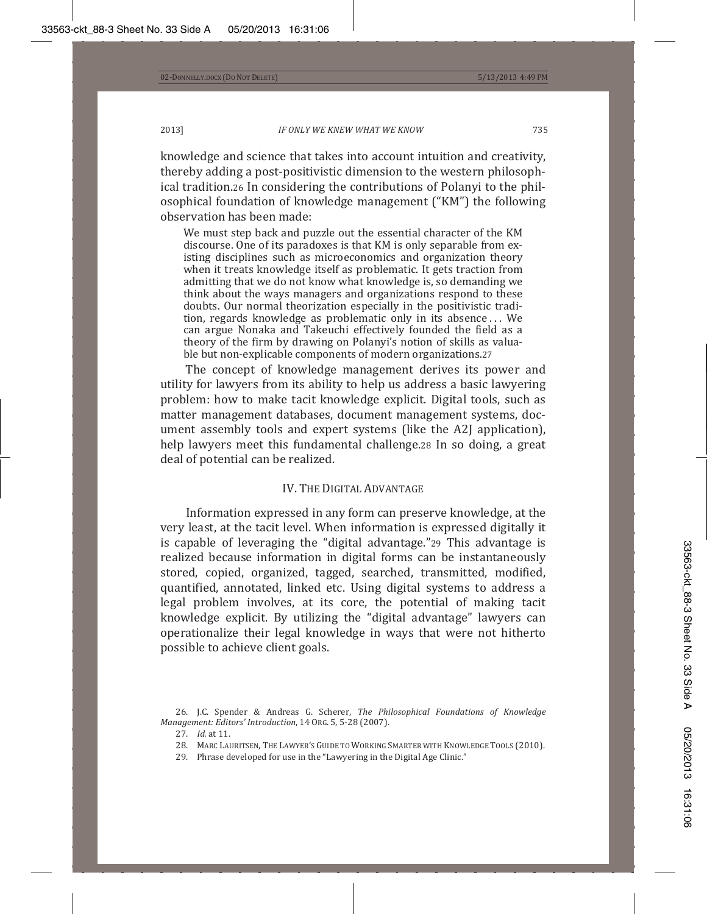knowledge and science that takes into account intuition and creativity, thereby adding a post-positivistic dimension to the western philosophical tradition.26 In considering the contributions of Polanyi to the philosophical foundation of knowledge management ("KM") the following observation has been made:

We must step back and puzzle out the essential character of the KM discourse. One of its paradoxes is that KM is only separable from existing disciplines such as microeconomics and organization theory when it treats knowledge itself as problematic. It gets traction from admitting that we do not know what knowledge is, so demanding we think about the ways managers and organizations respond to these doubts. Our normal theorization especially in the positivistic tradition, regards knowledge as problematic only in its absence... We can argue Nonaka and Takeuchi effectively founded the field as a theory of the firm by drawing on Polanyi's notion of skills as valuable but non-explicable components of modern organizations.27

The concept of knowledge management derives its power and utility for lawyers from its ability to help us address a basic lawyering problem: how to make tacit knowledge explicit. Digital tools, such as matter management databases, document management systems, document assembly tools and expert systems (like the A2J application), help lawyers meet this fundamental challenge.28 In so doing, a great deal of potential can be realized.

# IV. THE DIGITAL ADVANTAGE

Information expressed in any form can preserve knowledge, at the very least, at the tacit level. When information is expressed digitally it is capable of leveraging the "digital advantage."29 This advantage is realized because information in digital forms can be instantaneously stored, copied, organized, tagged, searched, transmitted, modified, quantified, annotated, linked etc. Using digital systems to address a legal problem involves, at its core, the potential of making tacit knowledge explicit. By utilizing the "digital advantage" lawyers can operationalize their legal knowledge in ways that were not hitherto possible to achieve client goals.

- 28. MARC LAURITSEN, THE LAWYER'S GUIDE TO WORKING SMARTER WITH KNOWLEDGE TOOLS (2010).
	- 29. Phrase developed for use in the "Lawyering in the Digital Age Clinic."

<sup>26.</sup> J.C. Spender & Andreas G. Scherer, The Philosophical Foundations of Knowledge *Management: Editors' Introduction,* 14 ORG. 5, 5-28 (2007).

<sup>27.</sup> *Id.* at 11.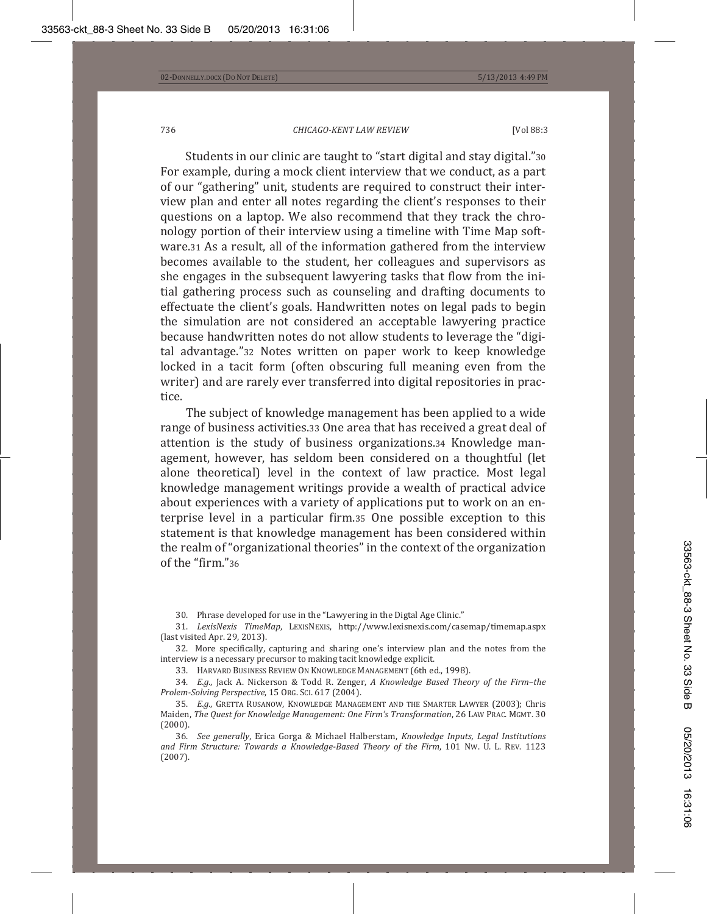Students in our clinic are taught to "start digital and stay digital."30 For example, during a mock client interview that we conduct, as a part of our "gathering" unit, students are required to construct their interview plan and enter all notes regarding the client's responses to their questions on a laptop. We also recommend that they track the chronology portion of their interview using a timeline with Time Map software.31 As a result, all of the information gathered from the interview becomes available to the student, her colleagues and supervisors as she engages in the subsequent lawyering tasks that flow from the initial gathering process such as counseling and drafting documents to effectuate the client's goals. Handwritten notes on legal pads to begin the simulation are not considered an acceptable lawyering practice because handwritten notes do not allow students to leverage the "digital advantage."32 Notes written on paper work to keep knowledge locked in a tacit form (often obscuring full meaning even from the writer) and are rarely ever transferred into digital repositories in practice.

The subject of knowledge management has been applied to a wide range of business activities.33 One area that has received a great deal of attention is the study of business organizations.34 Knowledge management, however, has seldom been considered on a thoughtful (let alone theoretical) level in the context of law practice. Most legal knowledge management writings provide a wealth of practical advice about experiences with a variety of applications put to work on an enterprise level in a particular firm.35 One possible exception to this statement is that knowledge management has been considered within the realm of "organizational theories" in the context of the organization of the "firm."36

30. Phrase developed for use in the "Lawyering in the Digtal Age Clinic."

31. LexisNexis TimeMap, LEXISNEXIS, http://www.lexisnexis.com/casemap/timemap.aspx (last visited Apr. 29, 2013).

32. More specifically, capturing and sharing one's interview plan and the notes from the interview is a necessary precursor to making tacit knowledge explicit.

33. HARVARD BUSINESS REVIEW ON KNOWLEDGE MANAGEMENT (6th ed., 1998).

34. E.g., Jack A. Nickerson & Todd R. Zenger, A Knowledge Based Theory of the Firm-the *Prolem-Solving Perspective,* 15 Or.G. Sci. 617 (2004).

35. E.g., GRETTA RUSANOW, KNOWLEDGE MANAGEMENT AND THE SMARTER LAWYER (2003); Chris Maiden, *The Quest for Knowledge Management: One Firm's Transformation, 26 LAW PRAC. ΜGMT. 30*  $(2000).$ 

 ͵Ǥ *See generally*ǡ Ƭ ǡ *Knowledge Inputs, Legal Institutions and Firm Structure: Towards a Knowledge-Based Theory of the Firm, 101 Nw. U. L. REV. 1123*  $(2007).$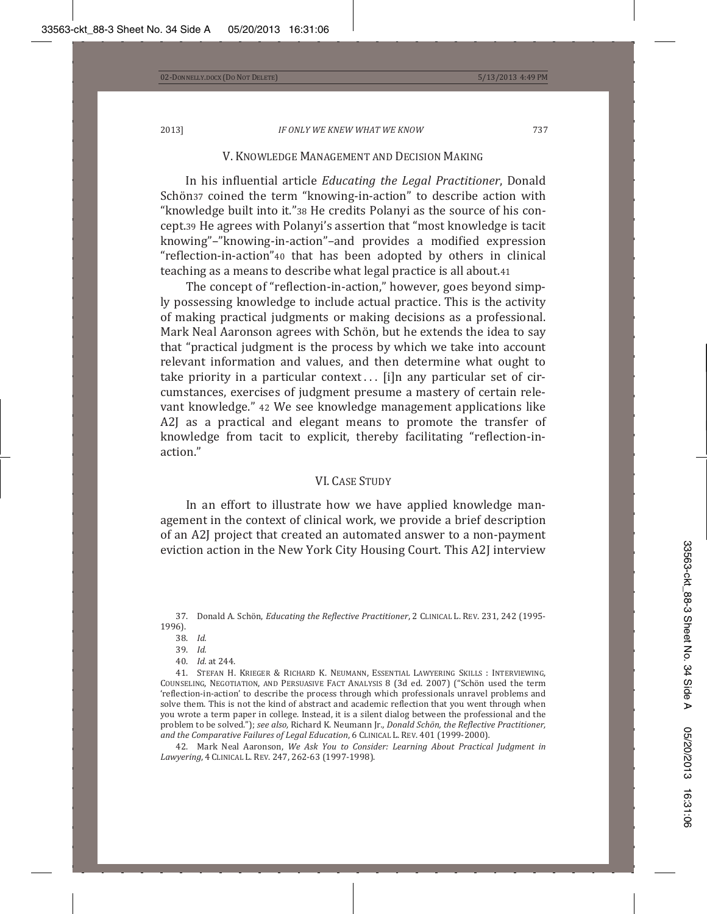## V. KNOWLEDGE MANAGEMENT AND DECISION MAKING

In his influential article *Educating the Legal Practitioner*, Donald Schön37 coined the term "knowing-in-action" to describe action with "knowledge built into it."38 He credits Polanyi as the source of his concept.39 He agrees with Polanyi's assertion that "most knowledge is tacit knowing"-"knowing-in-action"-and provides a modified expression "reflection-in-action"40 that has been adopted by others in clinical teaching as a means to describe what legal practice is all about.41

The concept of "reflection-in-action," however, goes beyond simply possessing knowledge to include actual practice. This is the activity of making practical judgments or making decisions as a professional. Mark Neal Aaronson agrees with Schön, but he extends the idea to say that "practical judgment is the process by which we take into account relevant information and values, and then determine what ought to take priority in a particular context... [i]n any particular set of circumstances, exercises of judgment presume a mastery of certain relevant knowledge." 42 We see knowledge management applications like A2J as a practical and elegant means to promote the transfer of knowledge from tacit to explicit, thereby facilitating "reflection-inaction."

### **VL CASE STUDY**

In an effort to illustrate how we have applied knowledge management in the context of clinical work, we provide a brief description of an A2J project that created an automated answer to a non-payment eviction action in the New York City Housing Court. This A2J interview

37. Donald A. Schön, *Educating the Reflective Practitioner*, 2 CLINICAL L. REV. 231, 242 (1995-1996).

- 38. *Id.*
- 39. *Id.*
- 40. *Id.* at 244.

41. Stefan H. Krieger & Richard K. Neumann, Essential Lawyering Skills : Interviewing, COUNSELING, NEGOTIATION, AND PERSUASIVE FACT ANALYSIS 8 (3d ed. 2007) ("Schön used the term 'reflection-in-action' to describe the process through which professionals unravel problems and solve them. This is not the kind of abstract and academic reflection that you went through when you wrote a term paper in college. Instead, it is a silent dialog between the professional and the problem to be solved."); see also, Richard K. Neumann Jr., Donald Schön, the Reflective Practitioner, *and the Comparative Failures of Legal Education, 6 CLINICAL L. REV. 401 (1999-2000).* 

 ͶʹǤ ǡ *We Ask You to Consider: Learning About Practical Judgment in* Lawyering, 4 CLINICAL L. REV. 247, 262-63 (1997-1998).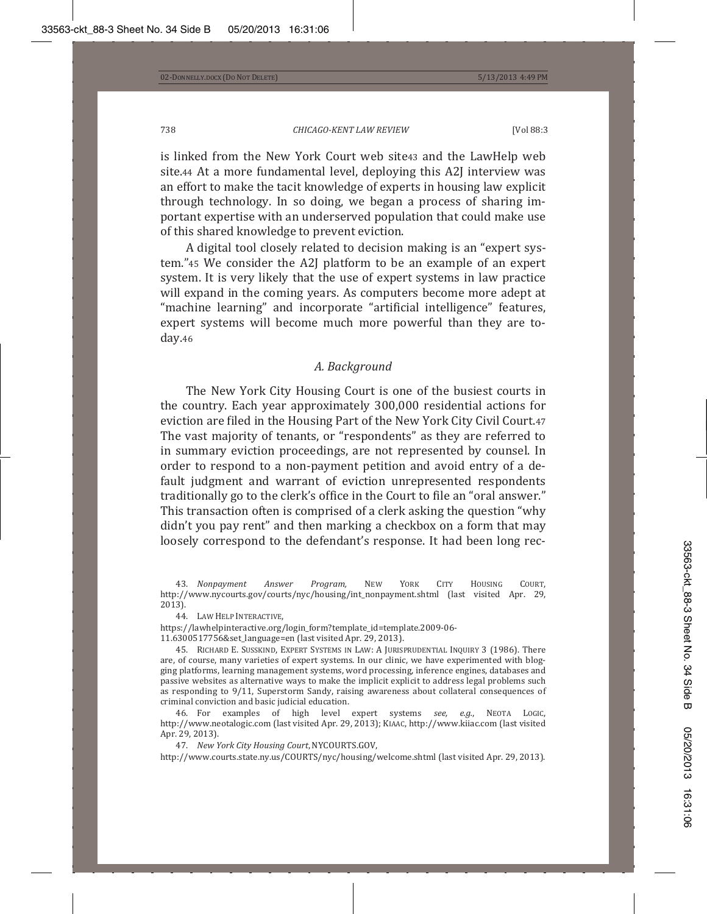is linked from the New York Court web site43 and the LawHelp web site.44 At a more fundamental level, deploying this A2J interview was an effort to make the tacit knowledge of experts in housing law explicit through technology. In so doing, we began a process of sharing important expertise with an underserved population that could make use of this shared knowledge to prevent eviction.

A digital tool closely related to decision making is an "expert system."45 We consider the A2J platform to be an example of an expert system. It is very likely that the use of expert systems in law practice will expand in the coming years. As computers become more adept at "machine learning" and incorporate "artificial intelligence" features, expert systems will become much more powerful than they are today.46

### *A. Background*

The New York City Housing Court is one of the busiest courts in the country. Each year approximately 300,000 residential actions for eviction are filed in the Housing Part of the New York City Civil Court.47 The vast majority of tenants, or "respondents" as they are referred to in summary eviction proceedings, are not represented by counsel. In order to respond to a non-payment petition and avoid entry of a default judgment and warrant of eviction unrepresented respondents traditionally go to the clerk's office in the Court to file an "oral answer." This transaction often is comprised of a clerk asking the question "why" didn't you pay rent" and then marking a checkbox on a form that may loosely correspond to the defendant's response. It had been long rec-

43. Nonpayment Answer Program, NEW YORK CITY HOUSING COURT, http://www.nycourts.gov/courts/nyc/housing/int\_nonpayment.shtml (last visited Apr. 29,  $2013$ ).

44. LAW HELP INTERACTIVE,

https://lawhelpinteractive.org/login\_form?template\_id=template.2009-06-

45. RICHARD E. SUSSKIND, EXPERT SYSTEMS IN LAW: A JURISPRUDENTIAL INQUIRY 3 (1986). There are, of course, many varieties of expert systems. In our clinic, we have experimented with blogging platforms, learning management systems, word processing, inference engines, databases and passive websites as alternative ways to make the implicit explicit to address legal problems such as responding to 9/11, Superstorm Sandy, raising awareness about collateral consequences of criminal conviction and basic judicial education.

46. For examples of high level expert systems see, e.g., NEOTA LOGIC, http://www.neotalogic.com (last visited Apr. 29, 2013); KIAAC, http://www.kiiac.com (last visited Apr. 29, 2013).

47. New York City Housing Court, NYCOURTS.GOV,

http://www.courts.state.ny.us/COURTS/nyc/housing/welcome.shtml (last visited Apr. 29, 2013).

<sup>11.6300517756&</sup>amp;set\_language=en (last visited Apr. 29, 2013).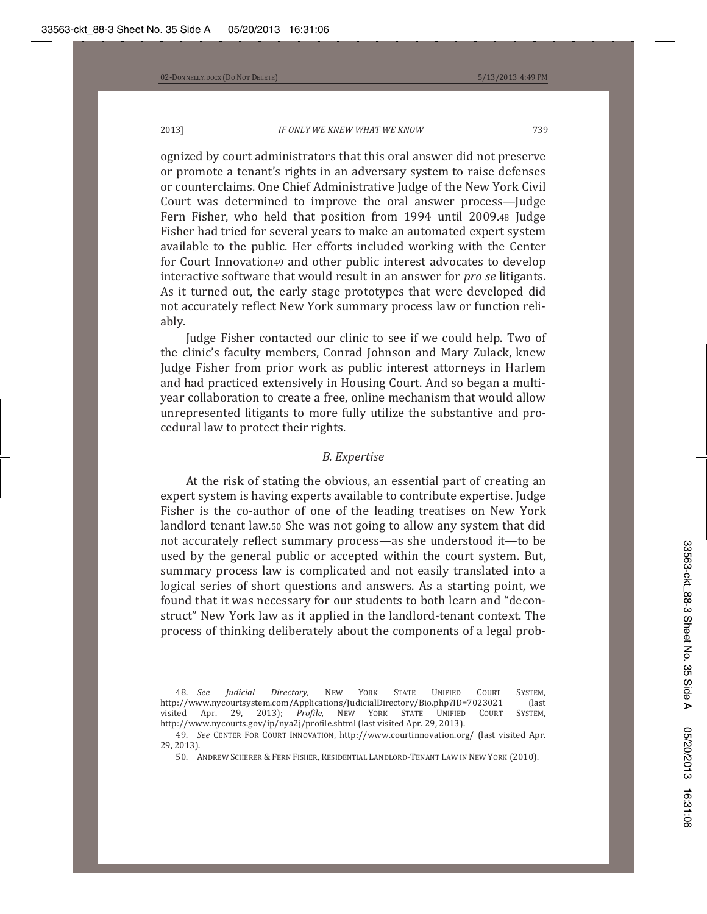ognized by court administrators that this oral answer did not preserve or promote a tenant's rights in an adversary system to raise defenses or counterclaims. One Chief Administrative Judge of the New York Civil Court was determined to improve the oral answer process-Judge Fern Fisher, who held that position from 1994 until 2009.48 Judge Fisher had tried for several years to make an automated expert system available to the public. Her efforts included working with the Center for Court Innovation49 and other public interest advocates to develop *interactive software that would result in an answer for pro se litigants.* As it turned out, the early stage prototypes that were developed did not accurately reflect New York summary process law or function reliably.

Judge Fisher contacted our clinic to see if we could help. Two of the clinic's faculty members, Conrad Johnson and Mary Zulack, knew Judge Fisher from prior work as public interest attorneys in Harlem and had practiced extensively in Housing Court. And so began a multiyear collaboration to create a free, online mechanism that would allow unrepresented litigants to more fully utilize the substantive and procedural law to protect their rights.

#### *B. Expertise*

At the risk of stating the obvious, an essential part of creating an expert system is having experts available to contribute expertise. Judge Fisher is the co-author of one of the leading treatises on New York landlord tenant law.50 She was not going to allow any system that did not accurately reflect summary process—as she understood it—to be used by the general public or accepted within the court system. But, summary process law is complicated and not easily translated into a logical series of short questions and answers. As a starting point, we found that it was necessary for our students to both learn and "deconstruct" New York law as it applied in the landlord-tenant context. The process of thinking deliberately about the components of a legal prob-

48. See Judicial Directory, NEW YORK STATE UNIFIED COURT SYSTEM, http://www.nycourtsystem.com/Applications/JudicialDirectory/Bio.php?ID=7023021 (last<br>visited Apr. 29, 2013); *Profile,* NEW YORK STATE UNIFIED COURT SYSTEM, visited Apr. 29, 2013); http://www.nycourts.gov/ip/nya2j/profile.shtml (last visited Apr. 29, 2013).

<sup>49.</sup> See CENTER FOR COURT INNOVATION, http://www.courtinnovation.org/ (last visited Apr. 29, 2013).

<sup>50.</sup> ANDREW SCHERER & FERN FISHER, RESIDENTIAL LANDLORD-TENANT LAW IN NEW YORK (2010).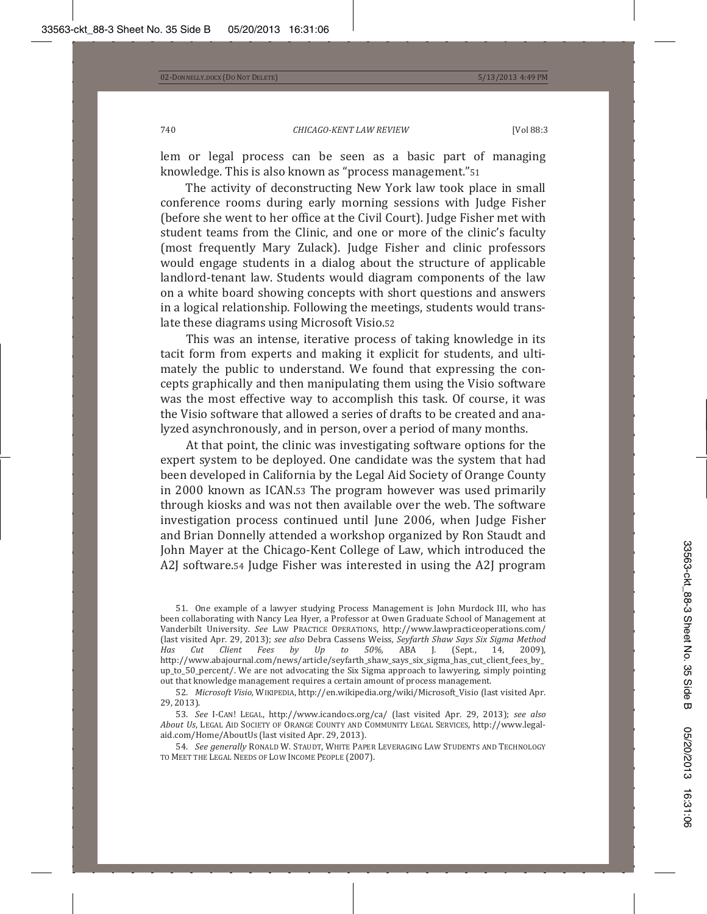lem or legal process can be seen as a basic part of managing knowledge. This is also known as "process management." 51

The activity of deconstructing New York law took place in small conference rooms during early morning sessions with Judge Fisher (before she went to her office at the Civil Court). Judge Fisher met with student teams from the Clinic, and one or more of the clinic's faculty (most frequently Mary Zulack). Judge Fisher and clinic professors would engage students in a dialog about the structure of applicable landlord-tenant law. Students would diagram components of the law on a white board showing concepts with short questions and answers in a logical relationship. Following the meetings, students would translate these diagrams using Microsoft Visio.52

This was an intense, iterative process of taking knowledge in its tacit form from experts and making it explicit for students, and ultimately the public to understand. We found that expressing the concepts graphically and then manipulating them using the Visio software was the most effective way to accomplish this task. Of course, it was the Visio software that allowed a series of drafts to be created and analyzed asynchronously, and in person, over a period of many months.

At that point, the clinic was investigating software options for the expert system to be deployed. One candidate was the system that had been developed in California by the Legal Aid Society of Orange County in 2000 known as ICAN.53 The program however was used primarily through kiosks and was not then available over the web. The software investigation process continued until June 2006, when Judge Fisher and Brian Donnelly attended a workshop organized by Ron Staudt and John Mayer at the Chicago-Kent College of Law, which introduced the A2J software.54 Judge Fisher was interested in using the A2J program

51. One example of a lawyer studying Process Management is John Murdock III, who has been collaborating with Nancy Lea Hyer, a Professor at Owen Graduate School of Management at Vanderbilt University. See LAW PRACTICE OPERATIONS, http://www.lawpracticeoperations.com/ (last visited Apr. 29, 2013); see also Debra Cassens Weiss, Seyfarth Shaw Says Six Sigma Method<br>
Has Cut Client Fees by Up to 50%, ABA J. (Sept., 14, 2009), *Has* Cut Client Fees by Up to 50%, ABA J. (Sept., 14, 2009), http://www.abajournal.com/news/article/seyfarth\_shaw\_says\_six\_sigma\_has\_cut\_client\_fees\_by\_ up to 50 percent/. We are not advocating the Six Sigma approach to lawyering, simply pointing out that knowledge management requires a certain amount of process management.

52. Microsoft Visio, WIKIPEDIA, http://en.wikipedia.org/wiki/Microsoft\_Visio (last visited Apr.  $29, 2013$ ).

53. *See* I-CAN! LEGAL, http://www.icandocs.org/ca/ (last visited Apr. 29, 2013); *see also* About Us, LEGAL AID SOCIETY OF ORANGE COUNTY AND COMMUNITY LEGAL SERVICES, http://www.legalaid.com/Home/AboutUs (last visited Apr. 29, 2013).

54. *See generally* Ronald W. Staudt, White Paper Leveraging Law Students and Technology TO MEET THE LEGAL NEEDS OF LOW INCOME PEOPLE (2007).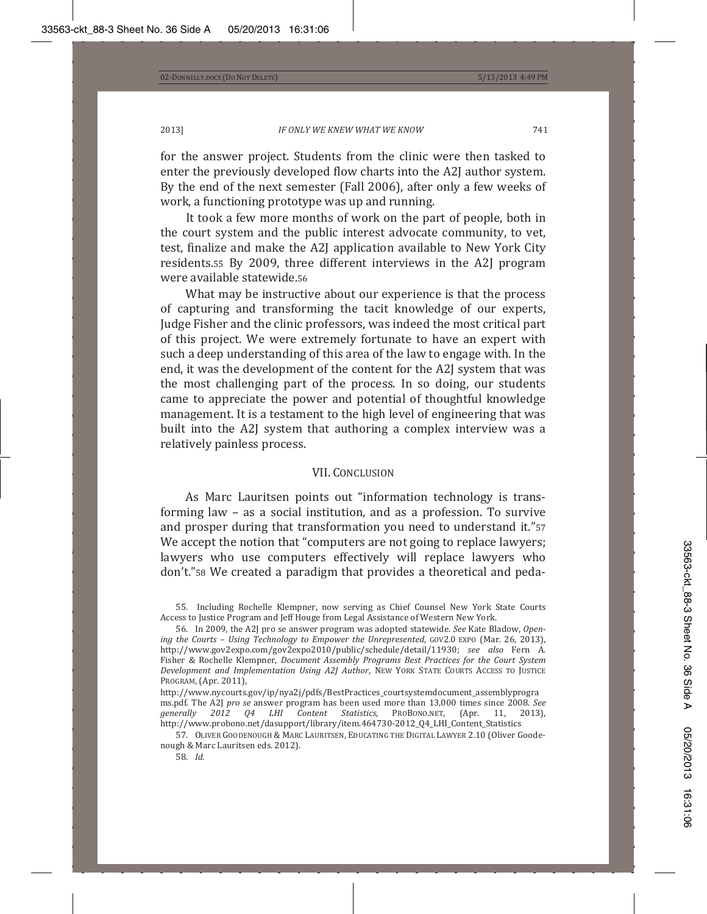for the answer project. Students from the clinic were then tasked to enter the previously developed flow charts into the A2J author system. By the end of the next semester (Fall 2006), after only a few weeks of work, a functioning prototype was up and running.

It took a few more months of work on the part of people, both in the court system and the public interest advocate community, to vet, test, finalize and make the A2J application available to New York City residents.55 By 2009, three different interviews in the A2J program were available statewide.56

What may be instructive about our experience is that the process of capturing and transforming the tacit knowledge of our experts, Judge Fisher and the clinic professors, was indeed the most critical part of this project. We were extremely fortunate to have an expert with such a deep understanding of this area of the law to engage with. In the end, it was the development of the content for the A2J system that was the most challenging part of the process. In so doing, our students came to appreciate the power and potential of thoughtful knowledge management. It is a testament to the high level of engineering that was built into the A2J system that authoring a complex interview was a relatively painless process.

#### **VII. CONCLUSION**

As Marc Lauritsen points out "information technology is transforming law  $-$  as a social institution, and as a profession. To survive and prosper during that transformation you need to understand it."57 We accept the notion that "computers are not going to replace lawyers; lawyers who use computers effectively will replace lawyers who don't." sa We created a paradigm that provides a theoretical and peda-

57. OLIVER GOODENOUGH & MARC LAURITSEN, EDUCATING THE DIGITAL LAWYER 2.10 (Oliver Goodenough & Marc Lauritsen eds. 2012).

58. *Id.* 

<sup>55.</sup> Including Rochelle Klempner, now serving as Chief Counsel New York State Courts Access to Justice Program and Jeff Houge from Legal Assistance of Western New York.

<sup>56.</sup> In 2009, the A2J pro se answer program was adopted statewide. See Kate Bladow, Open*ing the Courts – Using Technology to Empower the Unrepresented, G0V2.0 EXP0 (Mar. 26, 2013),* http://www.gov2expo.com/gov2expo2010/public/schedule/detail/11930; see also Fern A. Ƭ ǡ *Document Assembly Programs Best Practices for the Court System Development and Implementation Using A2J Author*ǡ  PROGRAM, (Apr. 2011),

http://www.nycourts.gov/ip/nya2j/pdfs/BestPractices\_courtsystemdocument\_assemblyprogra ms.pdf. The A2J *pro se* answer program has been used more than 13,000 times since 2008. See *generally* 2012 Q4 LHI Content Statistics, PROBONO.NET, (Apr. 11, 2013), *2012 Q4 LHI Content Statistics*, PROBONO.NET, (Apr. http://www.probono.net/dasupport/library/item.464730-2012\_Q4\_LHI\_Content\_Statistics